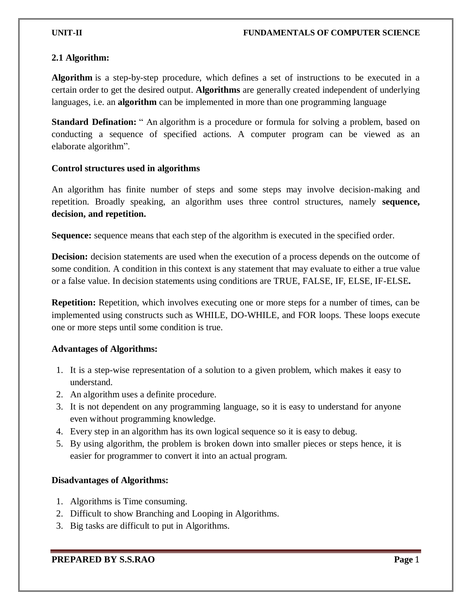# **2.1 Algorithm:**

**Algorithm** is a step-by-step procedure, which defines a set of instructions to be executed in a certain order to get the desired output. **Algorithms** are generally created independent of underlying languages, i.e. an **algorithm** can be implemented in more than one programming language

**Standard Defination:** " An algorithm is a procedure or formula for solving a problem, based on conducting a sequence of specified actions. A computer program can be viewed as an elaborate algorithm".

# **Control structures used in algorithms**

An algorithm has finite number of steps and some steps may involve decision-making and repetition. Broadly speaking, an algorithm uses three control structures, namely **sequence, decision, and repetition.** 

**Sequence:** sequence means that each step of the algorithm is executed in the specified order.

**Decision:** decision statements are used when the execution of a process depends on the outcome of some condition. A condition in this context is any statement that may evaluate to either a true value or a false value. In decision statements using conditions are TRUE, FALSE, IF, ELSE, IF-ELSE**.**

**Repetition:** Repetition, which involves executing one or more steps for a number of times, can be implemented using constructs such as WHILE, DO-WHILE, and FOR loops. These loops execute one or more steps until some condition is true.

# **Advantages of Algorithms:**

- 1. It is a step-wise representation of a solution to a given problem, which makes it easy to understand.
- 2. An algorithm uses a definite procedure.
- 3. It is not dependent on any programming language, so it is easy to understand for anyone even without programming knowledge.
- 4. Every step in an algorithm has its own logical sequence so it is easy to debug.
- 5. By using algorithm, the problem is broken down into smaller pieces or steps hence, it is easier for programmer to convert it into an actual program.

# **Disadvantages of Algorithms:**

- 1. Algorithms is Time consuming.
- 2. Difficult to show Branching and Looping in Algorithms.
- 3. Big tasks are difficult to put in Algorithms.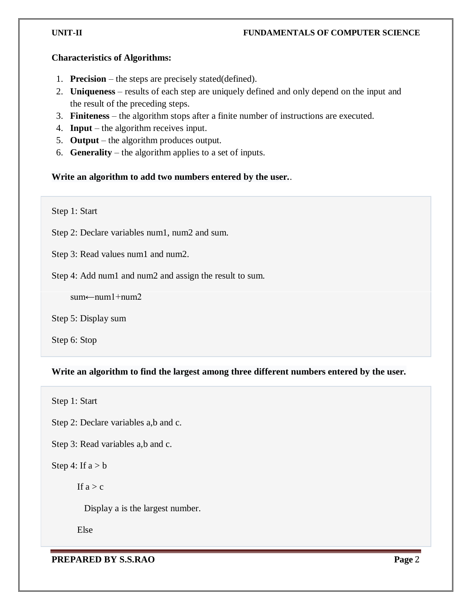#### **Characteristics of Algorithms:**

- 1. **Precision** the steps are precisely stated(defined).
- 2. **Uniqueness** results of each step are uniquely defined and only depend on the input and the result of the preceding steps.
- 3. **Finiteness** the algorithm stops after a finite number of instructions are executed.
- 4. **Input** the algorithm receives input.
- 5. **Output** the algorithm produces output.
- 6. **Generality** the algorithm applies to a set of inputs.

# **Write an algorithm to add two numbers entered by the user.**.

Step 1: Start

Step 2: Declare variables num1, num2 and sum.

Step 3: Read values num1 and num2.

Step 4: Add num1 and num2 and assign the result to sum.

sum←num1+num2

Step 5: Display sum

Step 6: Stop

# **Write an algorithm to find the largest among three different numbers entered by the user.**

Step 1: Start

Step 2: Declare variables a,b and c.

Step 3: Read variables a,b and c.

# Step 4: If  $a > b$

If  $a > c$ 

Display a is the largest number.

Else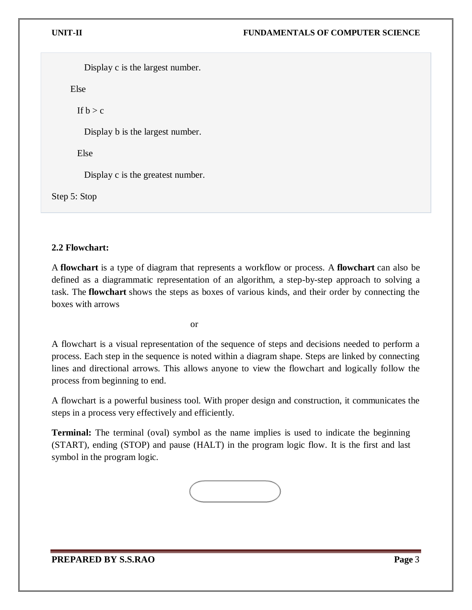Display c is the largest number.

Else

If  $b > c$ 

Display b is the largest number.

Else

Display c is the greatest number.

Step 5: Stop

# **2.2 Flowchart:**

A **flowchart** is a type of diagram that represents a workflow or process. A **flowchart** can also be defined as a diagrammatic representation of an algorithm, a step-by-step approach to solving a task. The **flowchart** shows the steps as boxes of various kinds, and their order by connecting the boxes with arrows

or

A flowchart is a visual representation of the sequence of steps and decisions needed to perform a process. Each step in the sequence is noted within a diagram shape. Steps are linked by connecting lines and directional arrows. This allows anyone to view the flowchart and logically follow the process from beginning to end.

A flowchart is a powerful business tool. With proper design and construction, it communicates the steps in a process very effectively and efficiently.

**Terminal:** The terminal (oval) symbol as the name implies is used to indicate the beginning (START), ending (STOP) and pause (HALT) in the program logic flow. It is the first and last symbol in the program logic.

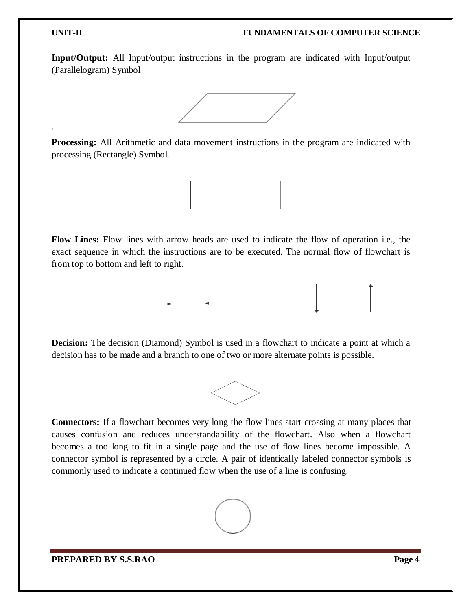.

**Input/Output:** All Input/output instructions in the program are indicated with Input/output (Parallelogram) Symbol



**Processing:** All Arithmetic and data movement instructions in the program are indicated with processing (Rectangle) Symbol.



**Flow Lines:** Flow lines with arrow heads are used to indicate the flow of operation i.e., the exact sequence in which the instructions are to be executed. The normal flow of flowchart is from top to bottom and left to right.

**Decision:** The decision (Diamond) Symbol is used in a flowchart to indicate a point at which a decision has to be made and a branch to one of two or more alternate points is possible.



**Connectors:** If a flowchart becomes very long the flow lines start crossing at many places that causes confusion and reduces understandability of the flowchart. Also when a flowchart becomes a too long to fit in a single page and the use of flow lines become impossible. A connector symbol is represented by a circle. A pair of identically labeled connector symbols is commonly used to indicate a continued flow when the use of a line is confusing.

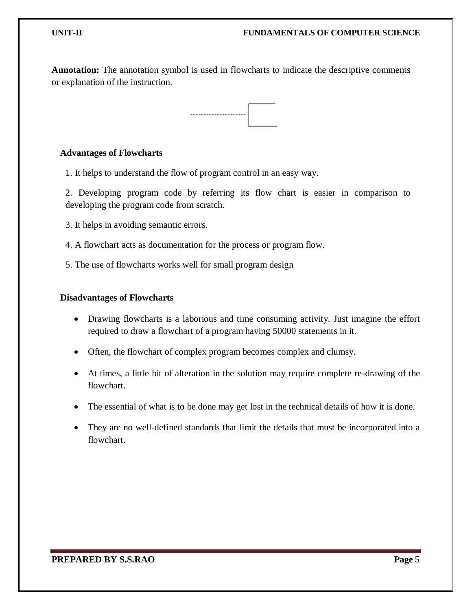**Annotation:** The annotation symbol is used in flowcharts to indicate the descriptive comments or explanation of the instruction.



#### **Advantages of Flowcharts**

1. It helps to understand the flow of program control in an easy way.

2. Developing program code by referring its flow chart is easier in comparison to developing the program code from scratch.

- 3. It helps in avoiding semantic errors.
- 4. A flowchart acts as documentation for the process or program flow.

5. The use of flowcharts works well for small program design

#### **Disadvantages of Flowcharts**

- Drawing flowcharts is a laborious and time consuming activity. Just imagine the effort required to draw a flowchart of a program having 50000 statements in it.
- Often, the flowchart of complex program becomes complex and clumsy.
- At times, a little bit of alteration in the solution may require complete re-drawing of the flowchart.
- The essential of what is to be done may get lost in the technical details of how it is done.
- They are no well-defined standards that limit the details that must be incorporated into a flowchart.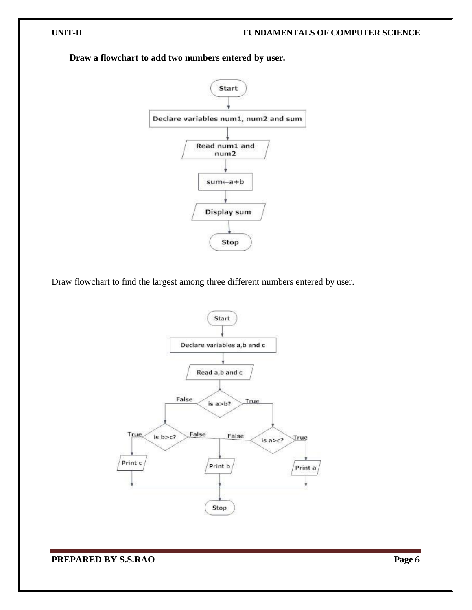

**Draw a flowchart to add two numbers entered by user.**

Draw flowchart to find the largest among three different numbers entered by user.

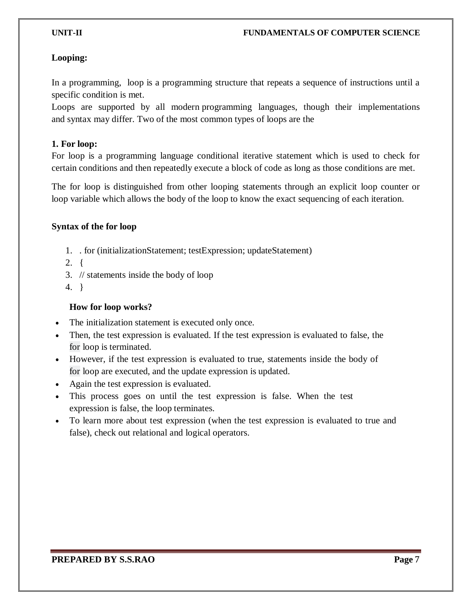# **Looping:**

In a programming, loop is a programming structure that repeats a sequence of instructions until a specific condition is met.

Loops are supported by all modern [programming](https://techterms.com/definition/programming_language) languages, though their implementations and [syntax](https://techterms.com/definition/syntax) may differ. Two of the most common types of loops are the

#### **1. For loop:**

For loop is a programming language conditional iterative statement which is used to check for certain conditions and then repeatedly execute a block of code as long as those conditions are met.

The for loop is distinguished from other looping statements through an explicit loop counter or loop variable which allows the body of the loop to know the exact sequencing of each iteration.

# **Syntax of the for loop**

- 1. . for (initializationStatement; testExpression; updateStatement)
- 2. {
- 3. // statements inside the body of loop
- 4. }

# **How for loop works?**

- The initialization statement is executed only once.
- Then, the test expression is evaluated. If the test expression is evaluated to false, the for loop is terminated.
- However, if the test expression is evaluated to true, statements inside the body of for loop are executed, and the update expression is updated.
- Again the test expression is evaluated.
- This process goes on until the test expression is false. When the test expression is false, the loop terminates.
- To learn more about test expression (when the test expression is evaluated to true and false), check out [relational a](https://www.programiz.com/c-programming/c-operators#relational)nd [logical operators.](https://www.programiz.com/c-programming/c-operators#logical)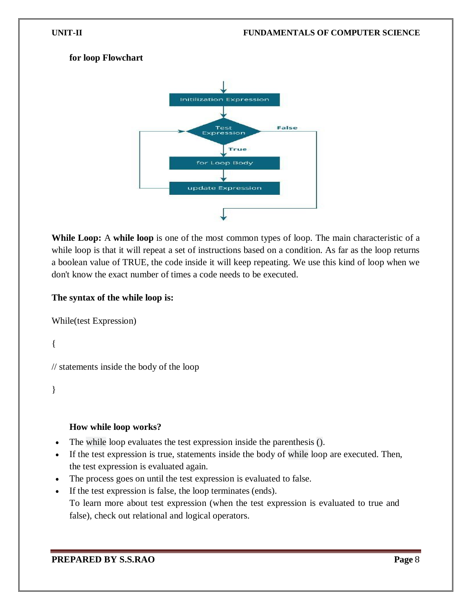#### **for loop Flowchart**



**While Loop:** A **while loop** is one of the most common types of loop. The main characteristic of a while loop is that it will repeat a set of instructions based on a condition. As far as the loop returns a boolean value of TRUE, the code inside it will keep repeating. We use this kind of loop when we don't know the exact number of times a code needs to be executed.

#### **The syntax of the while loop is:**

```
While(test Expression)
```
{

// statements inside the body of the loop

}

# **How while loop works?**

- The while loop evaluates the test expression inside the parenthesis ().
- If the test expression is true, statements inside the body of while loop are executed. Then, the test expression is evaluated again.
- The process goes on until the test expression is evaluated to false.
- If the test expression is false, the loop terminates (ends). To learn more about test expression (when the test expression is evaluated to true and false), check out [relational a](https://www.programiz.com/c-programming/c-operators#relational)nd [logical operators.](https://www.programiz.com/c-programming/c-operators#logical)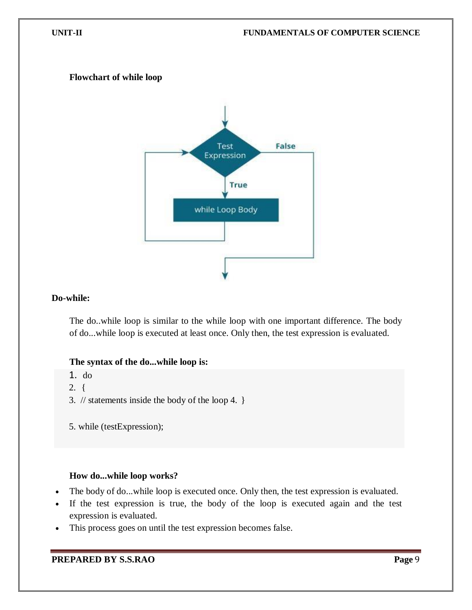#### **Flowchart of while loop**



#### **Do-while:**

The do..while loop is similar to the while loop with one important difference. The body of do...while loop is executed at least once. Only then, the test expression is evaluated.

#### **The syntax of the do...while loop is:**

1. do

2. {

- 3. // statements inside the body of the loop 4. }
- 5. while (testExpression);

#### **How do...while loop works?**

- The body of do...while loop is executed once. Only then, the test expression is evaluated.
- If the test expression is true, the body of the loop is executed again and the test expression is evaluated.
- This process goes on until the test expression becomes false.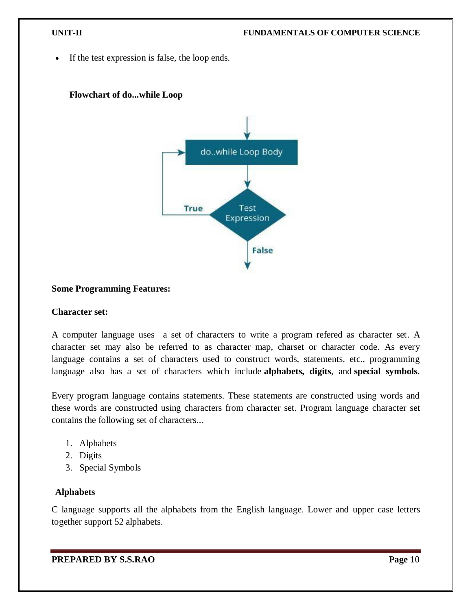If the test expression is false, the loop ends.



# **Flowchart of do...while Loop**

# **Some Programming Features:**

#### **Character set:**

A computer language uses a set of characters to write a program refered as character set. A character set may also be referred to as character map, charset or character code. As every language contains a set of characters used to construct words, statements, etc., programming language also has a set of characters which include **alphabets, digits**, and **special symbols**.

Every program language contains statements. These statements are constructed using words and these words are constructed using characters from character set. Program language character set contains the following set of characters...

- 1. Alphabets
- 2. Digits
- 3. Special Symbols

#### **Alphabets**

C language supports all the alphabets from the English language. Lower and upper case letters together support 52 alphabets.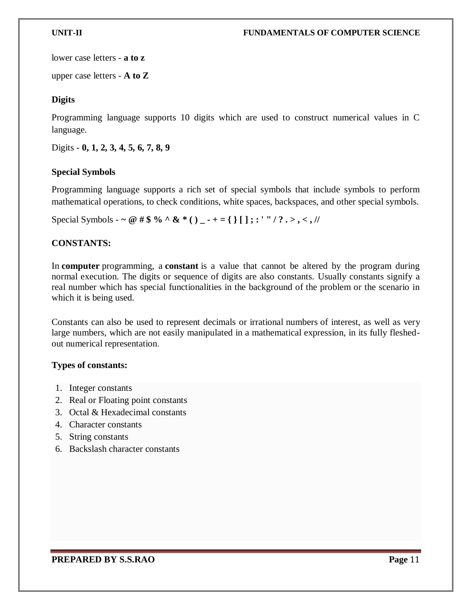lower case letters - **a to z**

upper case letters - **A to Z**

# **Digits**

Programming language supports 10 digits which are used to construct numerical values in C language.

Digits - **0, 1, 2, 3, 4, 5, 6, 7, 8, 9**

# **Special Symbols**

Programming language supports a rich set of special symbols that include symbols to perform mathematical operations, to check conditions, white spaces, backspaces, and other special symbols.

Special Symbols - ~ @ # \$ % ^ & \* () \_ - + = { } [ ] ; : ' '' / ? . > , < , //

# **CONSTANTS:**

In **computer** programming, a **constant** is a value that cannot be altered by the program during normal execution. The digits or sequence of digits are also constants. Usually constants signify a real number which has special functionalities in the background of the problem or the scenario in which it is being used.

Constants can also be used to represent decimals or irrational [numbers](https://teachcomputerscience.com/numbers/) of interest, as well as very large numbers, which are not easily manipulated in a mathematical expression, in its fully fleshedout numerical representation.

# **Types of constants:**

- 1. Integer constants
- 2. Real or Floating point constants
- 3. Octal & Hexadecimal constants
- 4. Character constants
- 5. String constants
- 6. Backslash character constants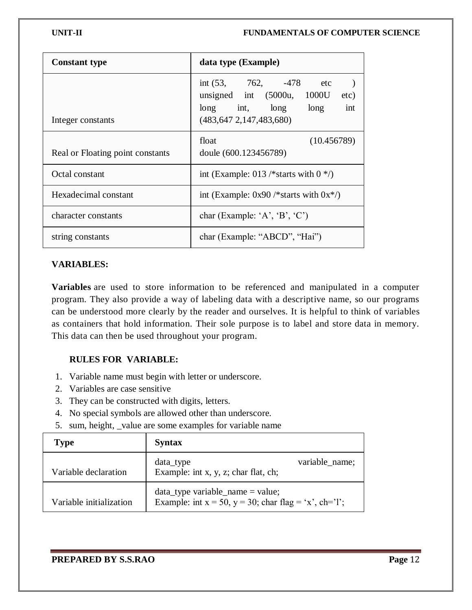| <b>Constant type</b>             | data type (Example)                                                                                                             |  |
|----------------------------------|---------------------------------------------------------------------------------------------------------------------------------|--|
| Integer constants                | int $(53, 762, -478$ etc<br>unsigned int $(5000u, 1000U)$<br>etc)<br>long int, long long<br>int<br>(483, 647, 2, 147, 483, 680) |  |
| Real or Floating point constants | float<br>(10.456789)<br>doule (600.123456789)                                                                                   |  |
| Octal constant                   | int (Example: 013 /*starts with $0$ */)                                                                                         |  |
| Hexadecimal constant             | int (Example: $0x90$ /*starts with $0x*/$ )                                                                                     |  |
| character constants              | char (Example: 'A', 'B', 'C')                                                                                                   |  |
| string constants                 | char (Example: "ABCD", "Hai")                                                                                                   |  |

# **VARIABLES:**

**Variables** are used to store information to be referenced and manipulated in a computer program. They also provide a way of labeling data with a descriptive name, so our programs can be understood more clearly by the reader and ourselves. It is helpful to think of variables as containers that hold information. Their sole purpose is to label and store data in memory. This data can then be used throughout your program.

# **RULES FOR VARIABLE:**

- 1. Variable name must begin with letter or underscore.
- 2. Variables are case sensitive
- 3. They can be constructed with digits, letters.
- 4. No special symbols are allowed other than underscore.
- 5. sum, height, \_value are some examples for variable name

| <b>Type</b>             | <b>Syntax</b>                                                                                     |                |
|-------------------------|---------------------------------------------------------------------------------------------------|----------------|
| Variable declaration    | data_type<br>Example: int x, y, z; char flat, ch;                                                 | variable_name; |
| Variable initialization | $data_type variable_name = value;$<br>Example: int $x = 50$ , $y = 30$ ; char flag = 'x', ch='l'; |                |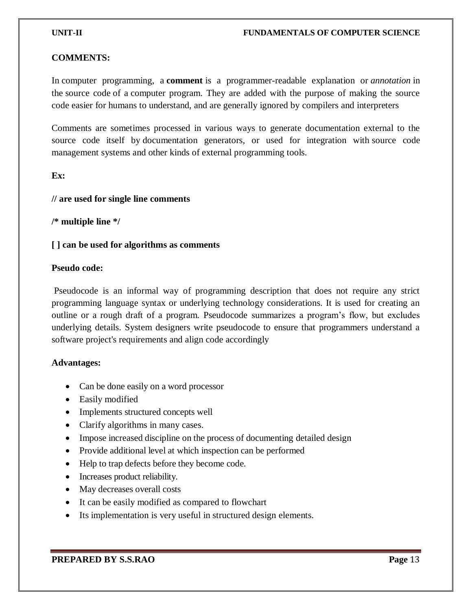#### **COMMENTS:**

In [computer programming,](https://en.wikipedia.org/wiki/Computer_programming) a **comment** is a programmer-readable explanation or *[annotation](https://en.wikipedia.org/wiki/Annotation)* in the [source code](https://en.wikipedia.org/wiki/Source_code) of a [computer program.](https://en.wikipedia.org/wiki/Computer_program) They are added with the purpose of making the source code easier for humans to understand, and are generally ignored by [compilers](https://en.wikipedia.org/wiki/Compiler) and [interpreters](https://en.wikipedia.org/wiki/Interpreter_(computing))

Comments are sometimes processed in various ways to generate documentation external to the source code itself by [documentation generators,](https://en.wikipedia.org/wiki/Documentation_generator) or used for integration with [source code](https://en.wikipedia.org/wiki/Version_control)  [management](https://en.wikipedia.org/wiki/Version_control) systems and other kinds of external [programming tools.](https://en.wikipedia.org/wiki/Programming_tool)

#### **Ex:**

#### **// are used for single line comments**

**/\* multiple line \*/**

#### **[ ] can be used for algorithms as comments**

#### **Pseudo code:**

Pseudocode is an informal way of programming description that does not require any strict programming language syntax or underlying technology considerations. It is used for creating an outline or a rough draft of a program. Pseudocode summarizes a program's flow, but excludes underlying details. System designers write pseudocode to ensure that programmers understand a software project's requirements and align code accordingly

#### **Advantages:**

- Can be done easily on a word processor
- Easily modified
- Implements structured concepts well
- Clarify algorithms in many cases.
- Impose increased discipline on the process of documenting detailed design
- Provide additional level at which inspection can be performed
- Help to trap defects before they become code.
- Increases product reliability.
- May decreases overall costs
- It can be easily modified as compared to flowchart
- Its implementation is very useful in structured design elements.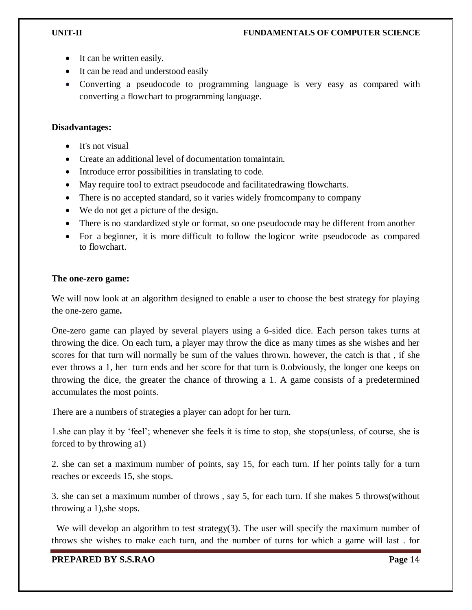- It can be written easily.
- It can be read and understood easily
- Converting a pseudocode to programming language is very easy as compared with converting a flowchart to programming language.

# **Disadvantages:**

- It's not visual
- Create an additional level of documentation tomaintain.
- Introduce error possibilities in translating to code.
- May require tool to extract pseudocode and facilitatedrawing flowcharts.
- There is no accepted standard, so it varies widely from company to company
- We do not get a picture of the design.
- There is no standardized style or format, so one pseudocode may be different from another
- For a beginner, it is more difficult to follow the logicor write pseudocode as compared to flowchart.

#### **The one-zero game:**

We will now look at an algorithm designed to enable a user to choose the best strategy for playing the one-zero game**.**

One-zero game can played by several players using a 6-sided dice. Each person takes turns at throwing the dice. On each turn, a player may throw the dice as many times as she wishes and her scores for that turn will normally be sum of the values thrown. however, the catch is that , if she ever throws a 1, her turn ends and her score for that turn is 0.obviously, the longer one keeps on throwing the dice, the greater the chance of throwing a 1. A game consists of a predetermined accumulates the most points.

There are a numbers of strategies a player can adopt for her turn.

1.she can play it by 'feel'; whenever she feels it is time to stop, she stops(unless, of course, she is forced to by throwing a1)

2. she can set a maximum number of points, say 15, for each turn. If her points tally for a turn reaches or exceeds 15, she stops.

3. she can set a maximum number of throws , say 5, for each turn. If she makes 5 throws(without throwing a 1),she stops.

We will develop an algorithm to test strategy(3). The user will specify the maximum number of throws she wishes to make each turn, and the number of turns for which a game will last . for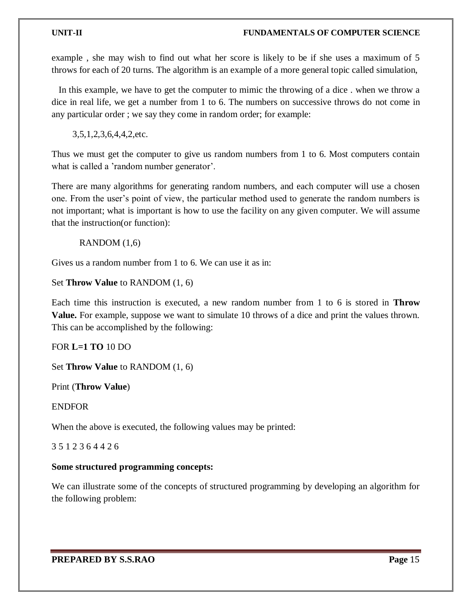#### **UNIT-II FUNDAMENTALS OF COMPUTER SCIENCE**

example , she may wish to find out what her score is likely to be if she uses a maximum of 5 throws for each of 20 turns. The algorithm is an example of a more general topic called simulation,

 In this example, we have to get the computer to mimic the throwing of a dice . when we throw a dice in real life, we get a number from 1 to 6. The numbers on successive throws do not come in any particular order ; we say they come in random order; for example:

3,5,1,2,3,6,4,4,2,etc.

Thus we must get the computer to give us random numbers from 1 to 6. Most computers contain what is called a 'random number generator'.

There are many algorithms for generating random numbers, and each computer will use a chosen one. From the user's point of view, the particular method used to generate the random numbers is not important; what is important is how to use the facility on any given computer. We will assume that the instruction(or function):

RANDOM (1,6)

Gives us a random number from 1 to 6. We can use it as in:

#### Set **Throw Value** to RANDOM (1, 6)

Each time this instruction is executed, a new random number from 1 to 6 is stored in **Throw Value.** For example, suppose we want to simulate 10 throws of a dice and print the values thrown. This can be accomplished by the following:

FOR **L=1 TO** 10 DO

Set **Throw Value** to RANDOM (1, 6)

Print (**Throw Value**)

ENDFOR

When the above is executed, the following values may be printed:

3 5 1 2 3 6 4 4 2 6

# **Some structured programming concepts:**

We can illustrate some of the concepts of structured programming by developing an algorithm for the following problem: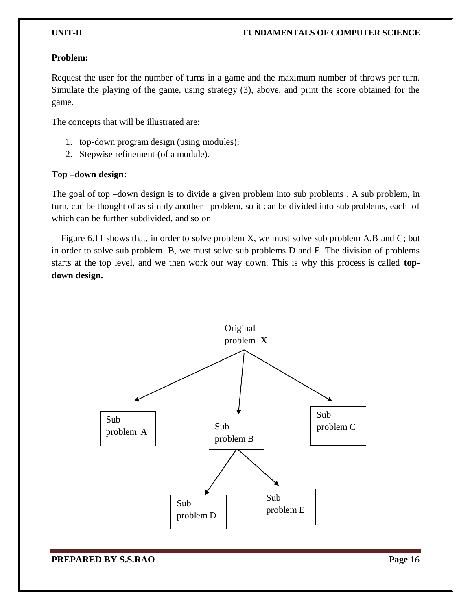#### **Problem:**

Request the user for the number of turns in a game and the maximum number of throws per turn. Simulate the playing of the game, using strategy (3), above, and print the score obtained for the game.

The concepts that will be illustrated are:

- 1. top-down program design (using modules);
- 2. Stepwise refinement (of a module).

# **Top –down design:**

The goal of top –down design is to divide a given problem into sub problems . A sub problem, in turn, can be thought of as simply another problem, so it can be divided into sub problems, each of which can be further subdivided, and so on

 Figure 6.11 shows that, in order to solve problem X, we must solve sub problem A,B and C; but in order to solve sub problem B, we must solve sub problems D and E. The division of problems starts at the top level, and we then work our way down. This is why this process is called **topdown design.**

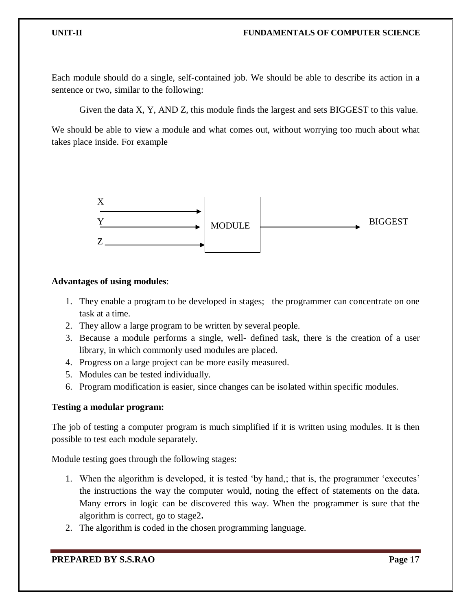Each module should do a single, self-contained job. We should be able to describe its action in a sentence or two, similar to the following:

Given the data X, Y, AND Z, this module finds the largest and sets BIGGEST to this value.

We should be able to view a module and what comes out, without worrying too much about what takes place inside. For example



#### **Advantages of using modules**:

- 1. They enable a program to be developed in stages; the programmer can concentrate on one task at a time.
- 2. They allow a large program to be written by several people.
- 3. Because a module performs a single, well- defined task, there is the creation of a user library, in which commonly used modules are placed.
- 4. Progress on a large project can be more easily measured.
- 5. Modules can be tested individually.
- 6. Program modification is easier, since changes can be isolated within specific modules.

#### **Testing a modular program:**

The job of testing a computer program is much simplified if it is written using modules. It is then possible to test each module separately.

Module testing goes through the following stages:

- 1. When the algorithm is developed, it is tested 'by hand,; that is, the programmer 'executes' the instructions the way the computer would, noting the effect of statements on the data. Many errors in logic can be discovered this way. When the programmer is sure that the algorithm is correct, go to stage2**.**
- 2. The algorithm is coded in the chosen programming language.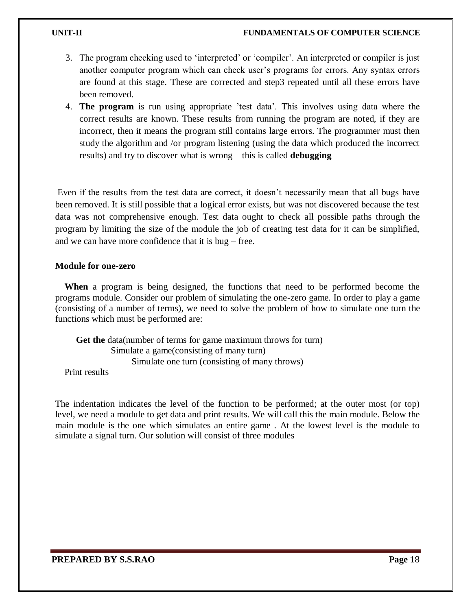#### **UNIT-II FUNDAMENTALS OF COMPUTER SCIENCE**

- 3. The program checking used to 'interpreted' or 'compiler'. An interpreted or compiler is just another computer program which can check user's programs for errors. Any syntax errors are found at this stage. These are corrected and step3 repeated until all these errors have been removed.
- 4. **The program** is run using appropriate 'test data'. This involves using data where the correct results are known. These results from running the program are noted, if they are incorrect, then it means the program still contains large errors. The programmer must then study the algorithm and /or program listening (using the data which produced the incorrect results) and try to discover what is wrong – this is called **debugging**

Even if the results from the test data are correct, it doesn't necessarily mean that all bugs have been removed. It is still possible that a logical error exists, but was not discovered because the test data was not comprehensive enough. Test data ought to check all possible paths through the program by limiting the size of the module the job of creating test data for it can be simplified, and we can have more confidence that it is bug – free.

#### **Module for one-zero**

 **When** a program is being designed, the functions that need to be performed become the programs module. Consider our problem of simulating the one-zero game. In order to play a game (consisting of a number of terms), we need to solve the problem of how to simulate one turn the functions which must be performed are:

 **Get the** data(number of terms for game maximum throws for turn) Simulate a game(consisting of many turn) Simulate one turn (consisting of many throws)

Print results

The indentation indicates the level of the function to be performed; at the outer most (or top) level, we need a module to get data and print results. We will call this the main module. Below the main module is the one which simulates an entire game . At the lowest level is the module to simulate a signal turn. Our solution will consist of three modules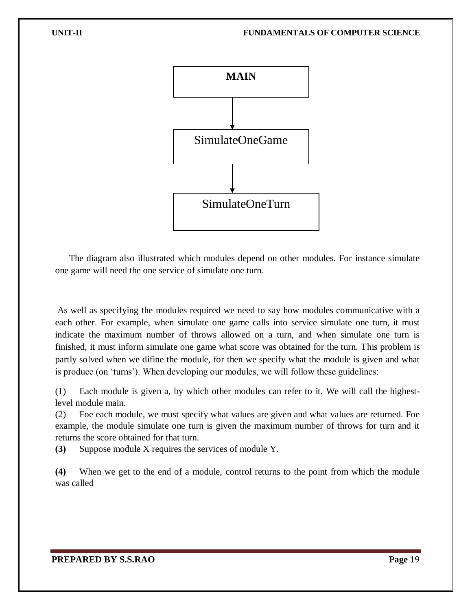

 The diagram also illustrated which modules depend on other modules. For instance simulate one game will need the one service of simulate one turn.

As well as specifying the modules required we need to say how modules communicative with a each other. For example, when simulate one game calls into service simulate one turn, it must indicate the maximum number of throws allowed on a turn, and when simulate one turn is finished, it must inform simulate one game what score was obtained for the turn. This problem is partly solved when we difine the module, for then we specify what the module is given and what is produce (on 'turns'). When developing our modules, we will follow these guidelines:

(1) Each module is given a, by which other modules can refer to it. We will call the highestlevel module main.

(2) Foe each module, we must specify what values are given and what values are returned. Foe example, the module simulate one turn is given the maximum number of throws for turn and it returns the score obtained for that turn.

**(3)** Suppose module X requires the services of module Y.

**(4)** When we get to the end of a module, control returns to the point from which the module was called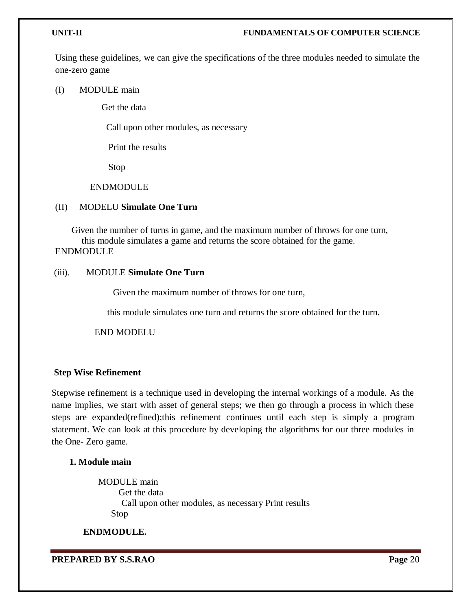Using these guidelines, we can give the specifications of the three modules needed to simulate the one-zero game

(I) MODULE main

Get the data

Call upon other modules, as necessary

Print the results

Stop

#### ENDMODULE

#### (II) MODELU **Simulate One Turn**

 Given the number of turns in game, and the maximum number of throws for one turn, this module simulates a game and returns the score obtained for the game. ENDMODULE

#### (iii). MODULE **Simulate One Turn**

Given the maximum number of throws for one turn,

this module simulates one turn and returns the score obtained for the turn.

END MODELU

# **Step Wise Refinement**

Stepwise refinement is a technique used in developing the internal workings of a module. As the name implies, we start with asset of general steps; we then go through a process in which these steps are expanded(refined);this refinement continues until each step is simply a program statement. We can look at this procedure by developing the algorithms for our three modules in the One- Zero game.

# **1. Module main**

MODULE main Get the data Call upon other modules, as necessary Print results Stop

**ENDMODULE.**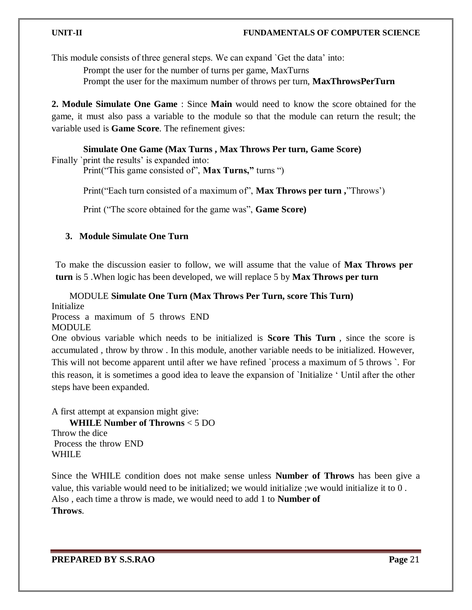#### **UNIT-II FUNDAMENTALS OF COMPUTER SCIENCE**

This module consists of three general steps. We can expand `Get the data' into:

Prompt the user for the number of turns per game, MaxTurns

Prompt the user for the maximum number of throws per turn, **MaxThrowsPerTurn**

**2. Module Simulate One Game** : Since **Main** would need to know the score obtained for the game, it must also pass a variable to the module so that the module can return the result; the variable used is **Game Score**. The refinement gives:

#### **Simulate One Game (Max Turns , Max Throws Per turn, Game Score)**

Finally `print the results' is expanded into:

Print("This game consisted of", **Max Turns,"** turns ")

Print("Each turn consisted of a maximum of", **Max Throws per turn ,**"Throws')

Print ("The score obtained for the game was", **Game Score)**

#### **3. Module Simulate One Turn**

To make the discussion easier to follow, we will assume that the value of **Max Throws per turn** is 5 .When logic has been developed, we will replace 5 by **Max Throws per turn**

MODULE **Simulate One Turn (Max Throws Per Turn, score This Turn)**

Initialize Process a maximum of 5 throws END **MODULE** 

One obvious variable which needs to be initialized is **Score This Turn** , since the score is accumulated , throw by throw . In this module, another variable needs to be initialized. However, This will not become apparent until after we have refined `process a maximum of 5 throws `. For this reason, it is sometimes a good idea to leave the expansion of `Initialize ' Until after the other steps have been expanded.

A first attempt at expansion might give: **WHILE Number of Throwns** < 5 DO Throw the dice Process the throw END WHILE

Since the WHILE condition does not make sense unless **Number of Throws** has been give a value, this variable would need to be initialized; we would initialize ;we would initialize it to 0 . Also , each time a throw is made, we would need to add 1 to **Number of Throws**.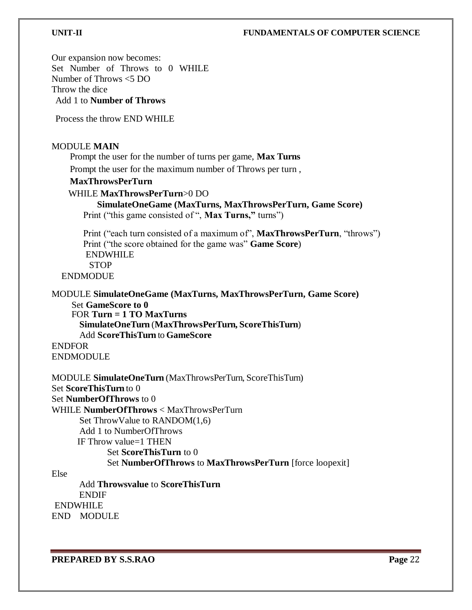# **UNIT-II FUNDAMENTALS OF COMPUTER SCIENCE**

Our expansion now becomes: Set Number of Throws to 0 WHILE Number of Throws <5 DO Throw the dice Add 1 to **Number of Throws**

Process the throw END WHILE

#### MODULE **MAIN**

Prompt the user for the number of turns per game, **Max Turns**  Prompt the user for the maximum number of Throws per turn ,

#### **MaxThrowsPerTurn**

#### WHILE **MaxThrowsPerTurn**>0 DO

## **SimulateOneGame (MaxTurns, MaxThrowsPerTurn, Game Score)** Print ("this game consisted of", **Max Turns**," turns")

Print ("each turn consisted of a maximum of", **MaxThrowsPerTurn**, "throws") Print ("the score obtained for the game was" **Game Score**) ENDWHILE **STOP** ENDMODUE

MODULE **SimulateOneGame (MaxTurns, MaxThrowsPerTurn, Game Score)**

Set **GameScore to 0** FOR **Turn = 1 TO MaxTurns SimulateOneTurn** (**MaxThrowsPerTurn, ScoreThisTurn**) Add **ScoreThisTurn** to **GameScore** ENDFOR

ENDMODULE

MODULE **SimulateOneTurn** (MaxThrowsPerTurn, ScoreThisTurn) Set **ScoreThisTurn** to 0 Set **NumberOfThrows** to 0 WHILE **NumberOfThrows** < MaxThrowsPerTurn Set ThrowValue to RANDOM(1,6) Add 1 to NumberOfThrows IF Throw value=1 THEN Set **ScoreThisTurn** to 0 Set **NumberOfThrows** to **MaxThrowsPerTurn** [force loopexit] Else

Add **Throwsvalue** to **ScoreThisTurn** ENDIF ENDWHILE END MODULE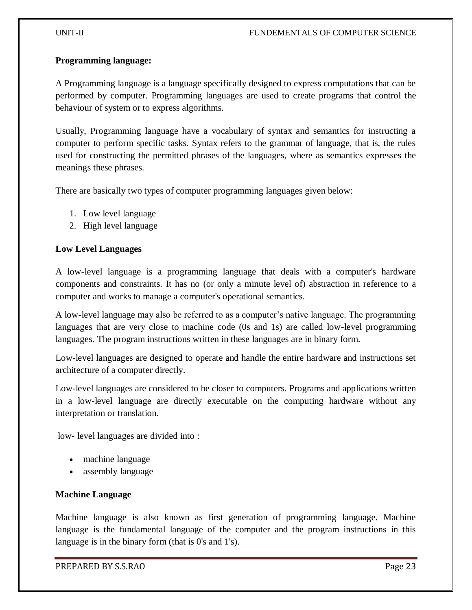#### **Programming language:**

A Programming language is a language specifically designed to express computations that can be performed by computer. Programming languages are used to create programs that control the behaviour of system or to express algorithms.

Usually, Programming language have a vocabulary of syntax and semantics for instructing a computer to perform specific tasks. Syntax refers to the grammar of language, that is, the rules used for constructing the permitted phrases of the languages, where as semantics expresses the meanings these phrases.

There are basically two types of computer programming languages given below:

- 1. Low level language
- 2. High level language

#### **Low Level Languages**

A low-level language is a programming language that deals with a computer's hardware components and constraints. It has no (or only a minute level of) abstraction in reference to a computer and works to manage a computer's operational semantics.

A low-level language may also be referred to as a computer's native language. The programming languages that are very close to machine code (0s and 1s) are called low-level programming languages. The program instructions written in these languages are in binary form.

Low-level languages are designed to operate and handle the entire hardware and instructions set architecture of a computer directly.

Low-level languages are considered to be closer to computers. Programs and applications written in a low-level language are directly executable on the computing hardware without any interpretation or translation.

low- level languages are divided into :

- machine language
- assembly language

# **Machine Language**

Machine language is also known as first generation of programming language. Machine language is the fundamental language of the computer and the program instructions in this language is in the binary form (that is 0's and 1's).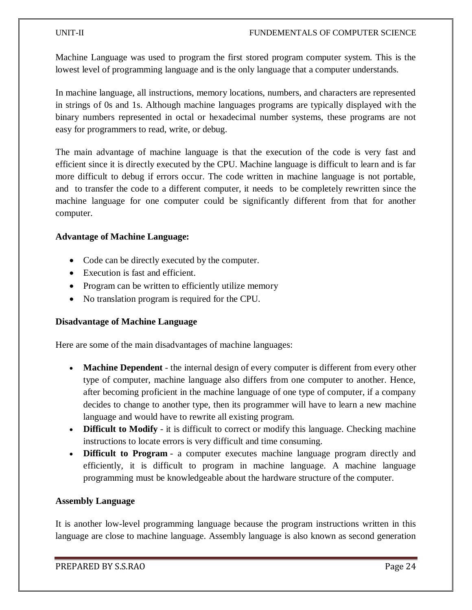Machine Language was used to program the first stored program computer system. This is the lowest level of programming language and is the only language that a computer understands.

In machine language, all instructions, memory locations, numbers, and characters are represented in strings of 0s and 1s. Although machine languages programs are typically displayed with the binary numbers represented in octal or hexadecimal number systems, these programs are not easy for programmers to read, write, or debug.

The main advantage of machine language is that the execution of the code is very fast and efficient since it is directly executed by the CPU. Machine language is difficult to learn and is far more difficult to debug if errors occur. The code written in machine language is not portable, and to transfer the code to a different computer, it needs to be completely rewritten since the machine language for one computer could be significantly different from that for another computer.

# **Advantage of Machine Language:**

- Code can be directly executed by the computer.
- Execution is fast and efficient.
- Program can be written to efficiently utilize memory
- No translation program is required for the CPU.

# **Disadvantage of Machine Language**

Here are some of the main disadvantages of machine languages:

- **Machine Dependent** the internal design of every computer is different from every other type of computer, machine language also differs from one computer to another. Hence, after becoming proficient in the machine language of one type of computer, if a company decides to change to another type, then its programmer will have to learn a new machine language and would have to rewrite all existing program.
- **Difficult to Modify** it is difficult to correct or modify this language. Checking machine instructions to locate errors is very difficult and time consuming.
- **Difficult to Program** a computer executes machine language program directly and efficiently, it is difficult to program in machine language. A machine language programming must be knowledgeable about the hardware structure of the computer.

# **Assembly Language**

It is another low-level programming language because the program instructions written in this language are close to machine language. Assembly language is also known as second generation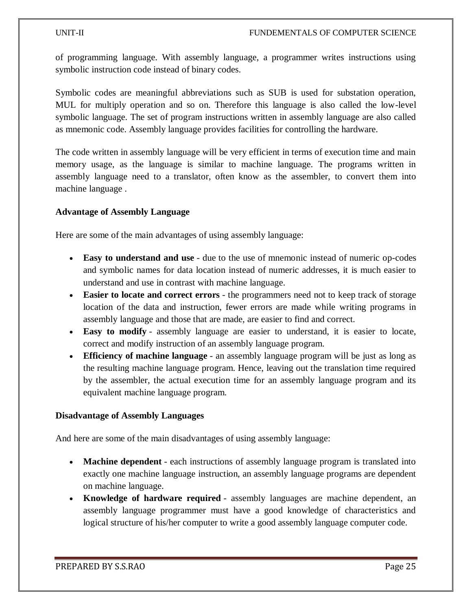of programming language. With assembly language, a programmer writes instructions using symbolic instruction code instead of binary codes.

Symbolic codes are meaningful abbreviations such as SUB is used for substation operation, MUL for multiply operation and so on. Therefore this language is also called the low-level symbolic language. The set of program instructions written in assembly language are also called as mnemonic code. Assembly language provides facilities for controlling the hardware.

The code written in assembly language will be very efficient in terms of execution time and main memory usage, as the language is similar to machine language. The programs written in assembly language need to a translator, often know as the assembler, to convert them into machine language .

# **Advantage of Assembly Language**

Here are some of the main advantages of using assembly language:

- **Easy to understand and use** due to the use of mnemonic instead of numeric op-codes and symbolic names for data location instead of numeric addresses, it is much easier to understand and use in contrast with machine language.
- **Easier to locate and correct errors** the programmers need not to keep track of storage location of the data and instruction, fewer errors are made while writing programs in assembly language and those that are made, are easier to find and correct.
- **Easy to modify** assembly language are easier to understand, it is easier to locate, correct and modify instruction of an assembly language program.
- **Efficiency of machine language** an assembly language program will be just as long as the resulting machine language program. Hence, leaving out the translation time required by the assembler, the actual execution time for an assembly language program and its equivalent machine language program.

# **Disadvantage of Assembly Languages**

And here are some of the main disadvantages of using assembly language:

- **Machine dependent** each instructions of assembly language program is translated into exactly one machine language instruction, an assembly language programs are dependent on machine language.
- **Knowledge of hardware required** assembly languages are machine dependent, an assembly language programmer must have a good knowledge of characteristics and logical structure of his/her computer to write a good assembly language computer code.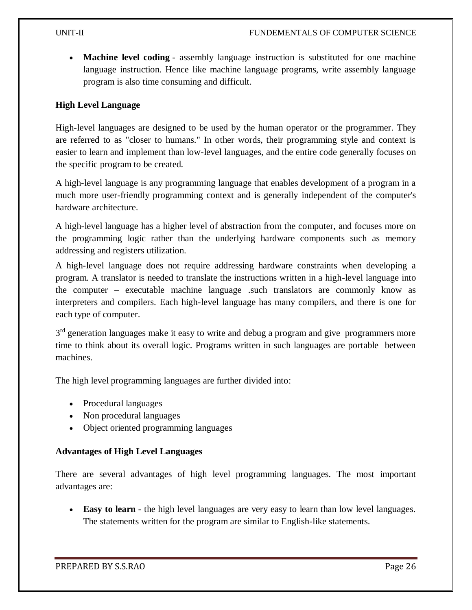**Machine level coding** - assembly language instruction is substituted for one machine language instruction. Hence like machine language programs, write assembly language program is also time consuming and difficult.

# **High Level Language**

High-level languages are designed to be used by the human operator or the programmer. They are referred to as "closer to humans." In other words, their programming style and context is easier to learn and implement than low-level languages, and the entire code generally focuses on the specific program to be created.

A high-level language is any programming language that enables development of a program in a much more user-friendly programming context and is generally independent of the computer's hardware architecture.

A high-level language has a higher level of abstraction from the computer, and focuses more on the programming logic rather than the underlying hardware components such as memory addressing and registers utilization.

A high-level language does not require addressing hardware constraints when developing a program. A translator is needed to translate the instructions written in a high-level language into the computer – executable machine language .such translators are commonly know as interpreters and compilers. Each high-level language has many compilers, and there is one for each type of computer.

3<sup>rd</sup> generation languages make it easy to write and debug a program and give programmers more time to think about its overall logic. Programs written in such languages are portable between machines.

The high level programming languages are further divided into:

- Procedural languages
- Non procedural languages
- Object oriented programming languages

# **Advantages of High Level Languages**

There are several advantages of high level programming languages. The most important advantages are:

 **Easy to learn** - the high level languages are very easy to learn than low level languages. The statements written for the program are similar to English-like statements.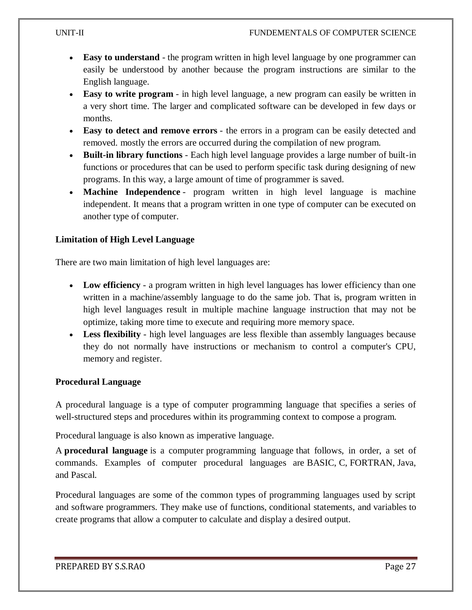- **Easy to understand** the program written in high level language by one programmer can easily be understood by another because the program instructions are similar to the English language.
- **Easy to write program** in high level language, a new program can easily be written in a very short time. The larger and complicated software can be developed in few days or months.
- **Easy to detect and remove errors** the errors in a program can be easily detected and removed. mostly the errors are occurred during the compilation of new program.
- **Built-in library functions** Each high level language provides a large number of built-in functions or procedures that can be used to perform specific task during designing of new programs. In this way, a large amount of time of programmer is saved.
- **Machine Independence** program written in high level language is machine independent. It means that a program written in one type of computer can be executed on another type of computer.

# **Limitation of High Level Language**

There are two main limitation of high level languages are:

- **Low efficiency** a program written in high level languages has lower efficiency than one written in a machine/assembly language to do the same job. That is, program written in high level languages result in multiple machine language instruction that may not be optimize, taking more time to execute and requiring more memory space.
- **Less flexibility** high level languages are less flexible than assembly languages because they do not normally have instructions or mechanism to control a computer's CPU, memory and register.

# **Procedural Language**

A procedural language is a type of computer programming language that specifies a series of well-structured steps and procedures within its programming context to compose a program.

Procedural language is also known as imperative language.

A **procedural language** is a computer [programming language](https://www.computerhope.com/jargon/p/programming-language.htm) that follows, in order, a set of commands. Examples of computer procedural languages are [BASIC,](https://www.computerhope.com/jargon/b/basic.htm) [C,](https://www.computerhope.com/jargon/c/c.htm) [FORTRAN,](https://www.computerhope.com/jargon/f/fortran.htm) [Java,](https://www.computerhope.com/jargon/j/java.htm) and [Pascal.](https://www.computerhope.com/jargon/p/pascal.htm)

Procedural languages are some of the common types of programming languages used by script and software programmers. They make use of [functions,](https://www.computerhope.com/jargon/f/function.htm) [conditional statements,](https://www.computerhope.com/jargon/c/contstat.htm) and [variables](https://www.computerhope.com/jargon/v/variable.htm) to create programs that allow a computer to calculate and display a desired output.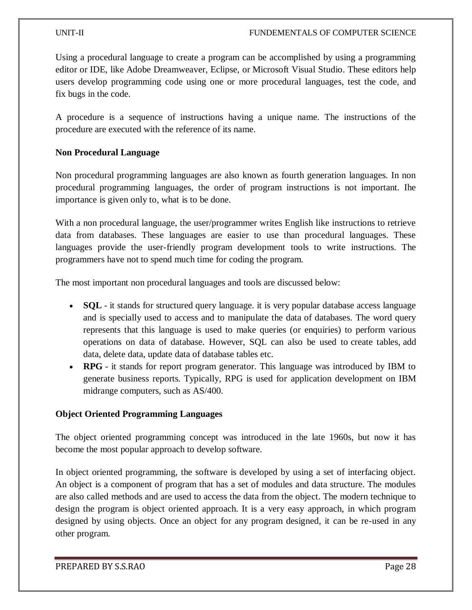Using a procedural language to create a program can be accomplished by using a programming editor or [IDE,](https://www.computerhope.com/jargon/i/ide.htm) like [Adobe Dreamweaver,](https://www.computerhope.com/jargon/d/dreamweaver.htm) [Eclipse,](https://www.computerhope.com/jargon/e/eclipse.htm) or [Microsoft Visual Studio.](https://www.computerhope.com/jargon/v/visual-studio.htm) These editors help users develop programming code using one or more procedural languages, test the code, and fix [bugs](https://www.computerhope.com/jargon/b/bug.htm) in the code.

A procedure is a sequence of instructions having a unique name. The instructions of the procedure are executed with the reference of its name.

# **Non Procedural Language**

Non procedural programming languages are also known as fourth generation languages. In non procedural programming languages, the order of program instructions is not important. Ihe importance is given only to, what is to be done.

With a non procedural language, the user/programmer writes English like instructions to retrieve data from databases. These languages are easier to use than procedural languages. These languages provide the user-friendly program development tools to write instructions. The programmers have not to spend much time for coding the program.

The most important non procedural languages and tools are discussed below:

- **[SQL](https://codescracker.com/sql/index.htm)** it stands for structured query language, it is very popular database access language and is specially used to access and to manipulate the data of databases. The word query represents that this language is used to make queries (or enquiries) to perform various operations on data of database. However, SQL can also be used to [create tables,](https://codescracker.com/sql/sql-create-table.htm) [add](https://codescracker.com/sql/sql-insert-into.htm)  [data,](https://codescracker.com/sql/sql-insert-into.htm) [delete data,](https://codescracker.com/sql/sql-delete.htm) [update data](https://codescracker.com/sql/sql-update.htm) of database tables etc.
- **RPG** it stands for report program generator. This language was introduced by IBM to generate business reports. Typically, RPG is used for application development on IBM midrange computers, such as AS/400.

# **Object Oriented Programming Languages**

The object oriented programming concept was introduced in the late 1960s, but now it has become the most popular approach to develop software.

In object oriented programming, the software is developed by using a set of interfacing object. An object is a component of program that has a set of modules and data structure. The modules are also called methods and are used to access the data from the object. The modern technique to design the program is object oriented approach. It is a very easy approach, in which program designed by using objects. Once an object for any program designed, it can be re-used in any other program.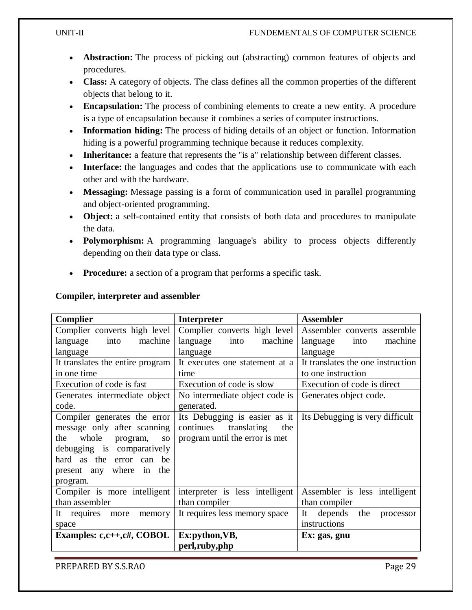- **[Abstraction:](https://www.webopedia.com/TERM/A/abstraction.html)** The process of picking out (abstracting) common features of objects and procedures.
- **[Class:](https://www.webopedia.com/TERM/C/class.html)** A category of objects. The class defines all the common properties of the different objects that belong to it.
- [Encapsulation:](https://www.webopedia.com/TERM/E/encapsulation.html) The process of combining elements to create a new entity. A procedure is a type of encapsulation because it combines a series of computer instructions.
- **[Information](https://www.webopedia.com/TERM/I/information_hiding.html) hiding:** The process of hiding details of an object or function. Information hiding is a powerful programming technique because it reduces complexity.
- **[Inheritance:](https://www.webopedia.com/TERM/I/inheritance.html)** a feature that represents the "is a" relationship between different classes.
- **[Interface:](https://www.webopedia.com/TERM/I/interface.html)** the languages and codes that the applications use to communicate with each other and with the hardware.
- **[Messaging:](https://www.webopedia.com/TERM/M/message_passing.html)** Message passing is a form of communication used in parallel programming and object-oriented programming.
- **[Object:](https://www.webopedia.com/TERM/O/object.html)** a self-contained entity that consists of both data and procedures to manipulate the data.
- **[Polymorphism:](https://www.webopedia.com/TERM/P/polymorphism.html)** A programming language's ability to process objects differently depending on their data type or class.
- **[Procedure:](https://www.webopedia.com/TERM/R/routine.html)** a section of a program that performs a specific task.

| <b>Complier</b>                       | Interpreter                     | <b>Assembler</b>                  |
|---------------------------------------|---------------------------------|-----------------------------------|
| Complier converts high level          | Complier converts high level    | Assembler converts assemble       |
| into<br>machine<br>language           | into<br>language<br>machine     | language<br>machine<br>into       |
| language                              | language                        | language                          |
| It translates the entire program      | It executes one statement at a  | It translates the one instruction |
| in one time                           | time                            | to one instruction                |
| Execution of code is fast             | Execution of code is slow       | Execution of code is direct       |
| Generates intermediate object         | No intermediate object code is  | Generates object code.            |
| code.                                 | generated.                      |                                   |
| Compiler generates the error          | Its Debugging is easier as it   | Its Debugging is very difficult   |
| message only after scanning           | continues<br>translating<br>the |                                   |
| whole<br>the<br>program,<br><b>SO</b> | program until the error is met  |                                   |
| debugging is comparatively            |                                 |                                   |
| hard as the<br>error can be           |                                 |                                   |
| present any where in the              |                                 |                                   |
| program.                              |                                 |                                   |
| Compiler is more intelligent          | interpreter is less intelligent | Assembler is less intelligent     |
| than assembler                        | than compiler                   | than compiler                     |
| It requires more<br>memory            | It requires less memory space   | It<br>depends<br>the<br>processor |
| space                                 |                                 | instructions                      |
| Examples: $c, c++, c#$ , COBOL        | Ex:python, VB,                  | Ex: gas, gnu                      |
|                                       | perl,ruby,php                   |                                   |

# **Compiler, interpreter and assembler**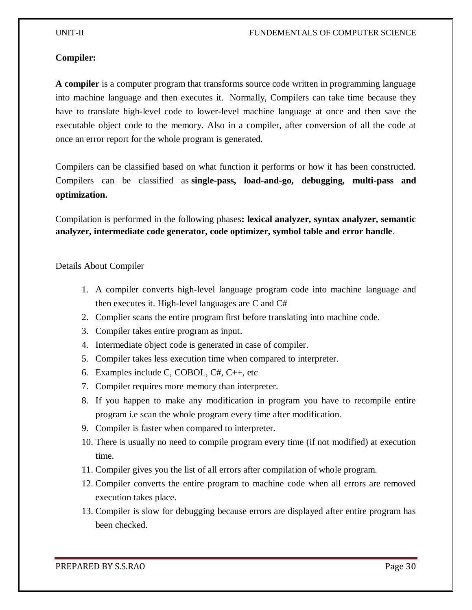#### **Compiler:**

**A compiler** is a computer program that transforms source code written in programming language into machine language and then executes it. Normally, Compilers can take time because they have to translate high-level code to lower-level machine language at once and then save the executable object code to the memory. Also in a compiler, after conversion of all the code at once an error report for the whole program is generated.

Compilers can be classified based on what function it performs or how it has been constructed. Compilers can be classified as **single-pass, load-and-go, debugging, multi-pass and optimization.**

Compilation is performed in the following phases**: lexical analyzer, syntax analyzer, semantic analyzer, intermediate code generator, code optimizer, symbol table and error handle**.

Details About Compiler

- 1. A compiler converts high-level language program code into machine language and then executes it. High-level languages are C and C#
- 2. Complier scans the entire program first before translating into machine code.
- 3. Compiler takes entire program as input.
- 4. Intermediate object code is generated in case of compiler.
- 5. Compiler takes less execution time when compared to interpreter.
- 6. Examples include C, COBOL, C#, C++, etc
- 7. Compiler requires more memory than interpreter.
- 8. If you happen to make any modification in program you have to recompile entire program i.e scan the whole program every time after modification.
- 9. Compiler is faster when compared to interpreter.
- 10. There is usually no need to compile program every time (if not modified) at execution time.
- 11. Compiler gives you the list of all errors after compilation of whole program.
- 12. Compiler converts the entire program to machine code when all errors are removed execution takes place.
- 13. Compiler is slow for debugging because errors are displayed after entire program has been checked.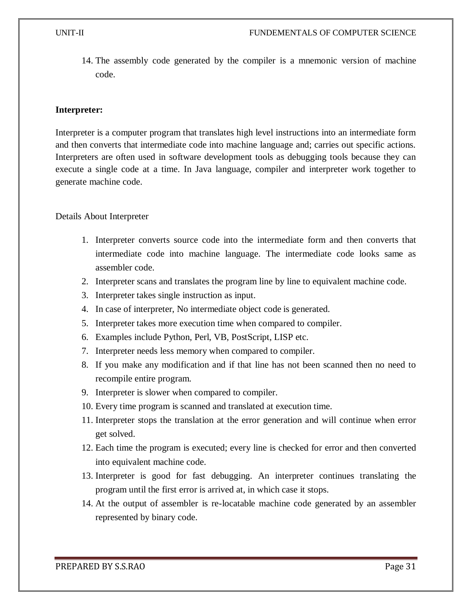14. The assembly code generated by the compiler is a mnemonic version of machine code.

#### **Interpreter:**

Interpreter is a computer program that translates high level instructions into an intermediate form and then converts that intermediate code into machine language and; carries out specific actions. Interpreters are often used in software development tools as debugging tools because they can execute a single code at a time. In Java language, compiler and interpreter work together to generate machine code.

Details About Interpreter

- 1. Interpreter converts source code into the intermediate form and then converts that intermediate code into machine language. The intermediate code looks same as assembler code.
- 2. Interpreter scans and translates the program line by line to equivalent machine code.
- 3. Interpreter takes single instruction as input.
- 4. In case of interpreter, No intermediate object code is generated.
- 5. Interpreter takes more execution time when compared to compiler.
- 6. Examples include Python, Perl, VB, PostScript, LISP etc.
- 7. Interpreter needs less memory when compared to compiler.
- 8. If you make any modification and if that line has not been scanned then no need to recompile entire program.
- 9. Interpreter is slower when compared to compiler.
- 10. Every time program is scanned and translated at execution time.
- 11. Interpreter stops the translation at the error generation and will continue when error get solved.
- 12. Each time the program is executed; every line is checked for error and then converted into equivalent machine code.
- 13. Interpreter is good for fast debugging. An interpreter continues translating the program until the first error is arrived at, in which case it stops.
- 14. At the output of assembler is re-locatable machine code generated by an assembler represented by binary code.